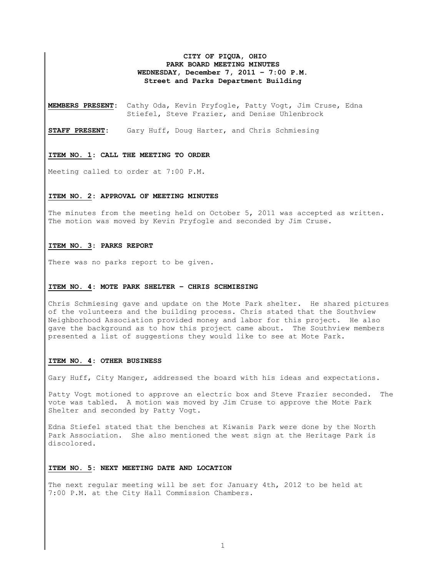# **CITY OF PIQUA, OHIO PARK BOARD MEETING MINUTES WEDNESDAY, December 7, 2011 – 7:00 P.M. Street and Parks Department Building**

**MEMBERS PRESENT:** Cathy Oda, Kevin Pryfogle, Patty Vogt, Jim Cruse, Edna Stiefel, Steve Frazier, and Denise Uhlenbrock

**STAFF PRESENT:** Gary Huff, Doug Harter, and Chris Schmiesing

#### **ITEM NO. 1: CALL THE MEETING TO ORDER**

Meeting called to order at 7:00 P.M.

## **ITEM NO. 2: APPROVAL OF MEETING MINUTES**

The minutes from the meeting held on October 5, 2011 was accepted as written. The motion was moved by Kevin Pryfogle and seconded by Jim Cruse.

#### **ITEM NO. 3: PARKS REPORT**

There was no parks report to be given.

#### **ITEM NO. 4: MOTE PARK SHELTER – CHRIS SCHMIESING**

Chris Schmiesing gave and update on the Mote Park shelter. He shared pictures of the volunteers and the building process. Chris stated that the Southview Neighborhood Association provided money and labor for this project. He also gave the background as to how this project came about. The Southview members presented a list of suggestions they would like to see at Mote Park.

#### **ITEM NO. 4: OTHER BUSINESS**

Gary Huff, City Manger, addressed the board with his ideas and expectations.

Patty Vogt motioned to approve an electric box and Steve Frazier seconded. The vote was tabled. A motion was moved by Jim Cruse to approve the Mote Park Shelter and seconded by Patty Vogt.

Edna Stiefel stated that the benches at Kiwanis Park were done by the North Park Association. She also mentioned the west sign at the Heritage Park is discolored.

### **ITEM NO. 5: NEXT MEETING DATE AND LOCATION**

The next regular meeting will be set for January 4th, 2012 to be held at 7:00 P.M. at the City Hall Commission Chambers.